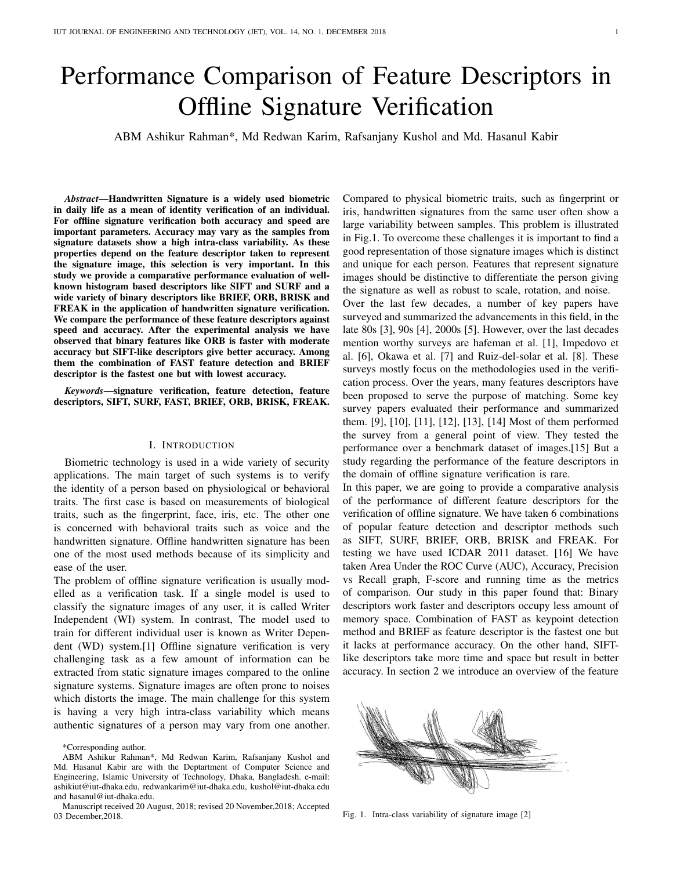# Performance Comparison of Feature Descriptors in Offline Signature Verification

ABM Ashikur Rahman\*, Md Redwan Karim, Rafsanjany Kushol and Md. Hasanul Kabir

*Abstract*—Handwritten Signature is a widely used biometric in daily life as a mean of identity verification of an individual. For offline signature verification both accuracy and speed are important parameters. Accuracy may vary as the samples from signature datasets show a high intra-class variability. As these properties depend on the feature descriptor taken to represent the signature image, this selection is very important. In this study we provide a comparative performance evaluation of wellknown histogram based descriptors like SIFT and SURF and a wide variety of binary descriptors like BRIEF, ORB, BRISK and FREAK in the application of handwritten signature verification. We compare the performance of these feature descriptors against speed and accuracy. After the experimental analysis we have observed that binary features like ORB is faster with moderate accuracy but SIFT-like descriptors give better accuracy. Among them the combination of FAST feature detection and BRIEF descriptor is the fastest one but with lowest accuracy.

*Keywords*—signature verification, feature detection, feature descriptors, SIFT, SURF, FAST, BRIEF, ORB, BRISK, FREAK.

#### I. INTRODUCTION

Biometric technology is used in a wide variety of security applications. The main target of such systems is to verify the identity of a person based on physiological or behavioral traits. The first case is based on measurements of biological traits, such as the fingerprint, face, iris, etc. The other one is concerned with behavioral traits such as voice and the handwritten signature. Offline handwritten signature has been one of the most used methods because of its simplicity and ease of the user.

The problem of offline signature verification is usually modelled as a verification task. If a single model is used to classify the signature images of any user, it is called Writer Independent (WI) system. In contrast, The model used to train for different individual user is known as Writer Dependent (WD) system.[1] Offline signature verification is very challenging task as a few amount of information can be extracted from static signature images compared to the online signature systems. Signature images are often prone to noises which distorts the image. The main challenge for this system is having a very high intra-class variability which means authentic signatures of a person may vary from one another.

\*Corresponding author.

Compared to physical biometric traits, such as fingerprint or iris, handwritten signatures from the same user often show a large variability between samples. This problem is illustrated in Fig.1. To overcome these challenges it is important to find a good representation of those signature images which is distinct and unique for each person. Features that represent signature images should be distinctive to differentiate the person giving the signature as well as robust to scale, rotation, and noise.

Over the last few decades, a number of key papers have surveyed and summarized the advancements in this field, in the late 80s [3], 90s [4], 2000s [5]. However, over the last decades mention worthy surveys are hafeman et al. [1], Impedovo et al. [6], Okawa et al. [7] and Ruiz-del-solar et al. [8]. These surveys mostly focus on the methodologies used in the verification process. Over the years, many features descriptors have been proposed to serve the purpose of matching. Some key survey papers evaluated their performance and summarized them. [9], [10], [11], [12], [13], [14] Most of them performed the survey from a general point of view. They tested the performance over a benchmark dataset of images.[15] But a study regarding the performance of the feature descriptors in the domain of offline signature verification is rare.

In this paper, we are going to provide a comparative analysis of the performance of different feature descriptors for the verification of offline signature. We have taken 6 combinations of popular feature detection and descriptor methods such as SIFT, SURF, BRIEF, ORB, BRISK and FREAK. For testing we have used ICDAR 2011 dataset. [16] We have taken Area Under the ROC Curve (AUC), Accuracy, Precision vs Recall graph, F-score and running time as the metrics of comparison. Our study in this paper found that: Binary descriptors work faster and descriptors occupy less amount of memory space. Combination of FAST as keypoint detection method and BRIEF as feature descriptor is the fastest one but it lacks at performance accuracy. On the other hand, SIFTlike descriptors take more time and space but result in better accuracy. In section 2 we introduce an overview of the feature



Fig. 1. Intra-class variability of signature image [2]

ABM Ashikur Rahman\*, Md Redwan Karim, Rafsanjany Kushol and Md. Hasanul Kabir are with the Deptartment of Computer Science and Engineering, Islamic University of Technology, Dhaka, Bangladesh. e-mail: ashikiut@iut-dhaka.edu, redwankarim@iut-dhaka.edu, kushol@iut-dhaka.edu and hasanul@iut-dhaka.edu.

Manuscript received 20 August, 2018; revised 20 November,2018; Accepted 03 December,2018.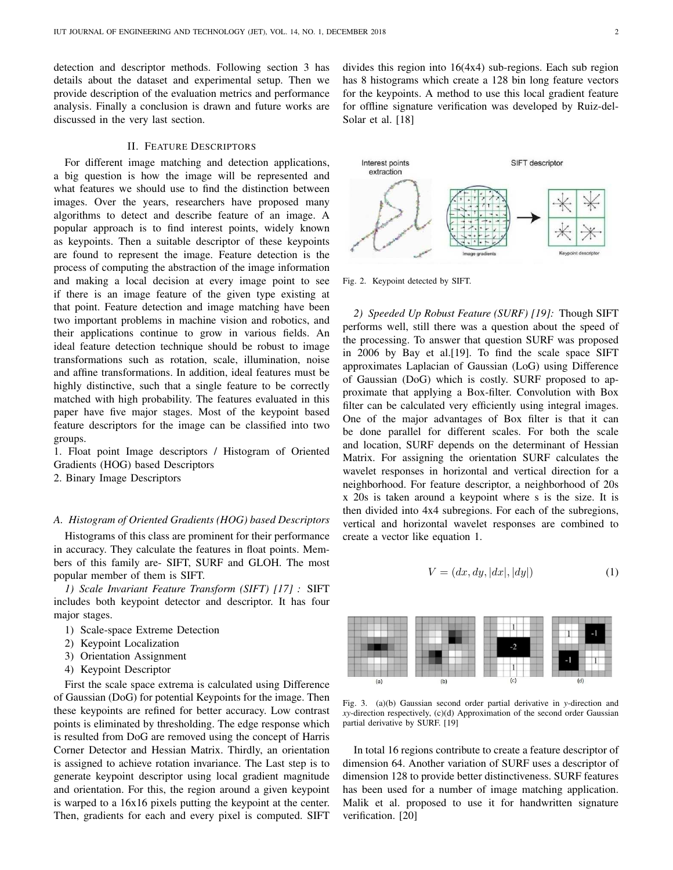detection and descriptor methods. Following section 3 has details about the dataset and experimental setup. Then we provide description of the evaluation metrics and performance analysis. Finally a conclusion is drawn and future works are discussed in the very last section.

# II. FEATURE DESCRIPTORS

For different image matching and detection applications, a big question is how the image will be represented and what features we should use to find the distinction between images. Over the years, researchers have proposed many algorithms to detect and describe feature of an image. A popular approach is to find interest points, widely known as keypoints. Then a suitable descriptor of these keypoints are found to represent the image. Feature detection is the process of computing the abstraction of the image information and making a local decision at every image point to see if there is an image feature of the given type existing at that point. Feature detection and image matching have been two important problems in machine vision and robotics, and their applications continue to grow in various fields. An ideal feature detection technique should be robust to image transformations such as rotation, scale, illumination, noise and affine transformations. In addition, ideal features must be highly distinctive, such that a single feature to be correctly matched with high probability. The features evaluated in this paper have five major stages. Most of the keypoint based feature descriptors for the image can be classified into two groups.

1. Float point Image descriptors / Histogram of Oriented Gradients (HOG) based Descriptors

2. Binary Image Descriptors

### *A. Histogram of Oriented Gradients (HOG) based Descriptors*

Histograms of this class are prominent for their performance in accuracy. They calculate the features in float points. Members of this family are- SIFT, SURF and GLOH. The most popular member of them is SIFT.

*1) Scale Invariant Feature Transform (SIFT) [17] :* SIFT includes both keypoint detector and descriptor. It has four major stages.

- 1) Scale-space Extreme Detection
- 2) Keypoint Localization
- 3) Orientation Assignment
- 4) Keypoint Descriptor

First the scale space extrema is calculated using Difference of Gaussian (DoG) for potential Keypoints for the image. Then these keypoints are refined for better accuracy. Low contrast points is eliminated by thresholding. The edge response which is resulted from DoG are removed using the concept of Harris Corner Detector and Hessian Matrix. Thirdly, an orientation is assigned to achieve rotation invariance. The Last step is to generate keypoint descriptor using local gradient magnitude and orientation. For this, the region around a given keypoint is warped to a 16x16 pixels putting the keypoint at the center. Then, gradients for each and every pixel is computed. SIFT

divides this region into 16(4x4) sub-regions. Each sub region has 8 histograms which create a 128 bin long feature vectors for the keypoints. A method to use this local gradient feature for offline signature verification was developed by Ruiz-del-Solar et al. [18]



Fig. 2. Keypoint detected by SIFT.

*2) Speeded Up Robust Feature (SURF) [19]:* Though SIFT performs well, still there was a question about the speed of the processing. To answer that question SURF was proposed in 2006 by Bay et al.[19]. To find the scale space SIFT approximates Laplacian of Gaussian (LoG) using Difference of Gaussian (DoG) which is costly. SURF proposed to approximate that applying a Box-filter. Convolution with Box filter can be calculated very efficiently using integral images. One of the major advantages of Box filter is that it can be done parallel for different scales. For both the scale and location, SURF depends on the determinant of Hessian Matrix. For assigning the orientation SURF calculates the wavelet responses in horizontal and vertical direction for a neighborhood. For feature descriptor, a neighborhood of 20s x 20s is taken around a keypoint where s is the size. It is then divided into 4x4 subregions. For each of the subregions, vertical and horizontal wavelet responses are combined to create a vector like equation 1.

$$
V = (dx, dy, |dx|, |dy|)
$$
 (1)



Fig. 3. (a)(b) Gaussian second order partial derivative in *y-*direction and *xy-*direction respectively, (c)(d) Approximation of the second order Gaussian partial derivative by SURF. [19]

In total 16 regions contribute to create a feature descriptor of dimension 64. Another variation of SURF uses a descriptor of dimension 128 to provide better distinctiveness. SURF features has been used for a number of image matching application. Malik et al. proposed to use it for handwritten signature verification. [20]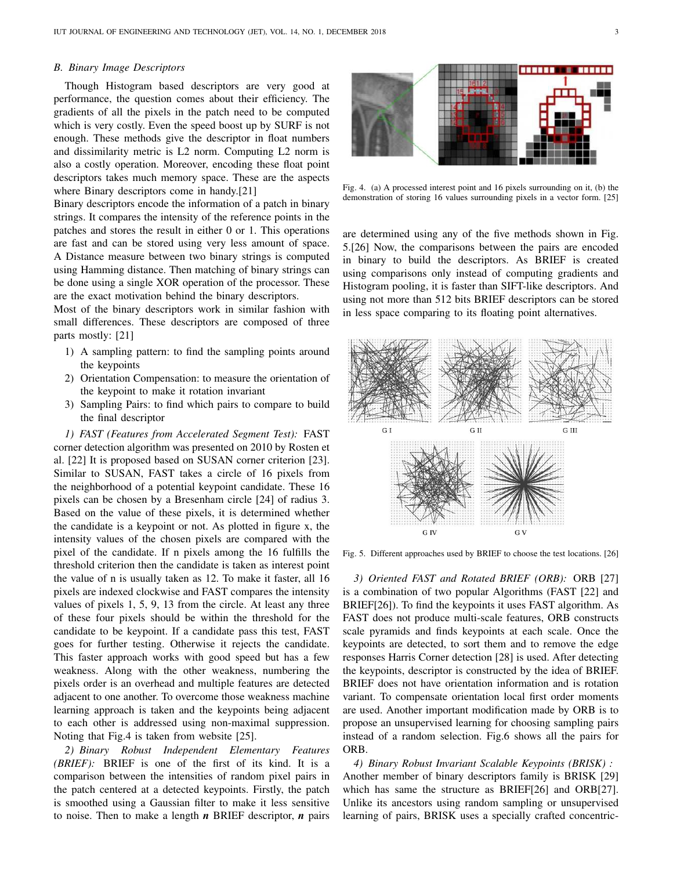### *B. Binary Image Descriptors*

Though Histogram based descriptors are very good at performance, the question comes about their efficiency. The gradients of all the pixels in the patch need to be computed which is very costly. Even the speed boost up by SURF is not enough. These methods give the descriptor in float numbers and dissimilarity metric is L2 norm. Computing L2 norm is also a costly operation. Moreover, encoding these float point descriptors takes much memory space. These are the aspects where Binary descriptors come in handy.[21]

Binary descriptors encode the information of a patch in binary strings. It compares the intensity of the reference points in the patches and stores the result in either 0 or 1. This operations are fast and can be stored using very less amount of space. A Distance measure between two binary strings is computed using Hamming distance. Then matching of binary strings can be done using a single XOR operation of the processor. These are the exact motivation behind the binary descriptors.

Most of the binary descriptors work in similar fashion with small differences. These descriptors are composed of three parts mostly: [21]

- 1) A sampling pattern: to find the sampling points around the keypoints
- 2) Orientation Compensation: to measure the orientation of the keypoint to make it rotation invariant
- 3) Sampling Pairs: to find which pairs to compare to build the final descriptor

*1) FAST (Features from Accelerated Segment Test):* FAST corner detection algorithm was presented on 2010 by Rosten et al. [22] It is proposed based on SUSAN corner criterion [23]. Similar to SUSAN, FAST takes a circle of 16 pixels from the neighborhood of a potential keypoint candidate. These 16 pixels can be chosen by a Bresenham circle [24] of radius 3. Based on the value of these pixels, it is determined whether the candidate is a keypoint or not. As plotted in figure x, the intensity values of the chosen pixels are compared with the pixel of the candidate. If n pixels among the 16 fulfills the threshold criterion then the candidate is taken as interest point the value of n is usually taken as 12. To make it faster, all 16 pixels are indexed clockwise and FAST compares the intensity values of pixels 1, 5, 9, 13 from the circle. At least any three of these four pixels should be within the threshold for the candidate to be keypoint. If a candidate pass this test, FAST goes for further testing. Otherwise it rejects the candidate. This faster approach works with good speed but has a few weakness. Along with the other weakness, numbering the pixels order is an overhead and multiple features are detected adjacent to one another. To overcome those weakness machine learning approach is taken and the keypoints being adjacent to each other is addressed using non-maximal suppression. Noting that Fig.4 is taken from website [25].

*2) Binary Robust Independent Elementary Features (BRIEF):* BRIEF is one of the first of its kind. It is a comparison between the intensities of random pixel pairs in the patch centered at a detected keypoints. Firstly, the patch is smoothed using a Gaussian filter to make it less sensitive to noise. Then to make a length *n* BRIEF descriptor, *n* pairs



Fig. 4. (a) A processed interest point and 16 pixels surrounding on it, (b) the demonstration of storing 16 values surrounding pixels in a vector form. [25]

are determined using any of the five methods shown in Fig. 5.[26] Now, the comparisons between the pairs are encoded in binary to build the descriptors. As BRIEF is created using comparisons only instead of computing gradients and Histogram pooling, it is faster than SIFT-like descriptors. And using not more than 512 bits BRIEF descriptors can be stored in less space comparing to its floating point alternatives.



Fig. 5. Different approaches used by BRIEF to choose the test locations. [26]

*3) Oriented FAST and Rotated BRIEF (ORB):* ORB [27] is a combination of two popular Algorithms (FAST [22] and BRIEF[26]). To find the keypoints it uses FAST algorithm. As FAST does not produce multi-scale features, ORB constructs scale pyramids and finds keypoints at each scale. Once the keypoints are detected, to sort them and to remove the edge responses Harris Corner detection [28] is used. After detecting the keypoints, descriptor is constructed by the idea of BRIEF. BRIEF does not have orientation information and is rotation variant. To compensate orientation local first order moments are used. Another important modification made by ORB is to propose an unsupervised learning for choosing sampling pairs instead of a random selection. Fig.6 shows all the pairs for ORB.

*4) Binary Robust Invariant Scalable Keypoints (BRISK) :* Another member of binary descriptors family is BRISK [29] which has same the structure as BRIEF[26] and ORB[27]. Unlike its ancestors using random sampling or unsupervised learning of pairs, BRISK uses a specially crafted concentric-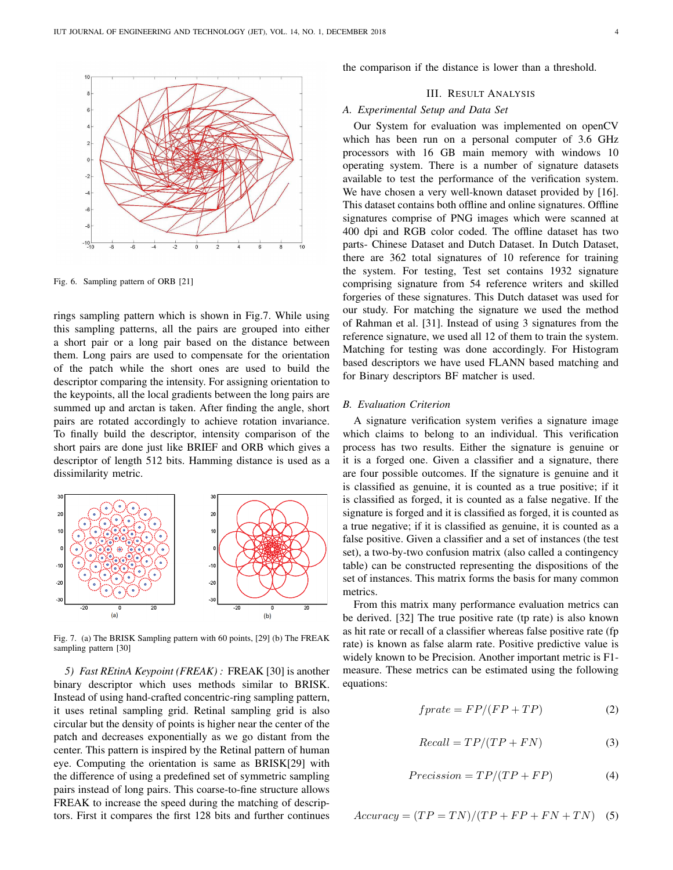

Fig. 6. Sampling pattern of ORB [21]

rings sampling pattern which is shown in Fig.7. While using this sampling patterns, all the pairs are grouped into either a short pair or a long pair based on the distance between them. Long pairs are used to compensate for the orientation of the patch while the short ones are used to build the descriptor comparing the intensity. For assigning orientation to the keypoints, all the local gradients between the long pairs are summed up and arctan is taken. After finding the angle, short pairs are rotated accordingly to achieve rotation invariance. To finally build the descriptor, intensity comparison of the short pairs are done just like BRIEF and ORB which gives a descriptor of length 512 bits. Hamming distance is used as a dissimilarity metric.



Fig. 7. (a) The BRISK Sampling pattern with 60 points, [29] (b) The FREAK sampling pattern [30]

*5) Fast REtinA Keypoint (FREAK) :* FREAK [30] is another binary descriptor which uses methods similar to BRISK. Instead of using hand-crafted concentric-ring sampling pattern, it uses retinal sampling grid. Retinal sampling grid is also circular but the density of points is higher near the center of the patch and decreases exponentially as we go distant from the center. This pattern is inspired by the Retinal pattern of human eye. Computing the orientation is same as BRISK[29] with the difference of using a predefined set of symmetric sampling pairs instead of long pairs. This coarse-to-fine structure allows FREAK to increase the speed during the matching of descriptors. First it compares the first 128 bits and further continues

the comparison if the distance is lower than a threshold.

# III. RESULT ANALYSIS

# *A. Experimental Setup and Data Set*

Our System for evaluation was implemented on openCV which has been run on a personal computer of 3.6 GHz processors with 16 GB main memory with windows 10 operating system. There is a number of signature datasets available to test the performance of the verification system. We have chosen a very well-known dataset provided by [16]. This dataset contains both offline and online signatures. Offline signatures comprise of PNG images which were scanned at 400 dpi and RGB color coded. The offline dataset has two parts- Chinese Dataset and Dutch Dataset. In Dutch Dataset, there are 362 total signatures of 10 reference for training the system. For testing, Test set contains 1932 signature comprising signature from 54 reference writers and skilled forgeries of these signatures. This Dutch dataset was used for our study. For matching the signature we used the method of Rahman et al. [31]. Instead of using 3 signatures from the reference signature, we used all 12 of them to train the system. Matching for testing was done accordingly. For Histogram based descriptors we have used FLANN based matching and for Binary descriptors BF matcher is used.

# *B. Evaluation Criterion*

A signature verification system verifies a signature image which claims to belong to an individual. This verification process has two results. Either the signature is genuine or it is a forged one. Given a classifier and a signature, there are four possible outcomes. If the signature is genuine and it is classified as genuine, it is counted as a true positive; if it is classified as forged, it is counted as a false negative. If the signature is forged and it is classified as forged, it is counted as a true negative; if it is classified as genuine, it is counted as a false positive. Given a classifier and a set of instances (the test set), a two-by-two confusion matrix (also called a contingency table) can be constructed representing the dispositions of the set of instances. This matrix forms the basis for many common metrics.

From this matrix many performance evaluation metrics can be derived. [32] The true positive rate (tp rate) is also known as hit rate or recall of a classifier whereas false positive rate (fp rate) is known as false alarm rate. Positive predictive value is widely known to be Precision. Another important metric is F1 measure. These metrics can be estimated using the following equations:

$$
fprate = FP/(FP + TP)
$$
 (2)

$$
Recall = TP/(TP + FN)
$$
 (3)

$$
Precision = TP/(TP + FP)
$$
 (4)

$$
Accuracy = (TP = TN)/(TP + FP + FN + TN)
$$
 (5)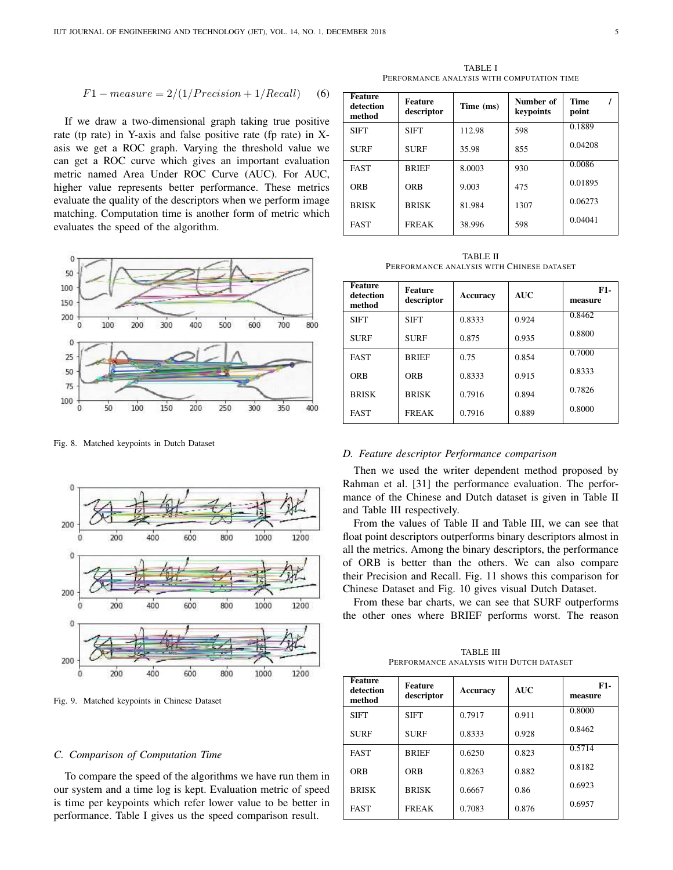$$
F1-measure = 2/(1/Precision + 1/Recall)
$$
 (6)

If we draw a two-dimensional graph taking true positive rate (tp rate) in Y-axis and false positive rate (fp rate) in Xasis we get a ROC graph. Varying the threshold value we can get a ROC curve which gives an important evaluation metric named Area Under ROC Curve (AUC). For AUC, higher value represents better performance. These metrics evaluate the quality of the descriptors when we perform image matching. Computation time is another form of metric which evaluates the speed of the algorithm.



Fig. 8. Matched keypoints in Dutch Dataset



Fig. 9. Matched keypoints in Chinese Dataset

#### *C. Comparison of Computation Time*

To compare the speed of the algorithms we have run them in our system and a time log is kept. Evaluation metric of speed is time per keypoints which refer lower value to be better in performance. Table I gives us the speed comparison result.

TABLE I PERFORMANCE ANALYSIS WITH COMPUTATION TIME

| <b>Feature</b><br>detection<br>method | <b>Feature</b><br>descriptor | Time (ms) | Number of<br>keypoints | <b>Time</b><br>point |
|---------------------------------------|------------------------------|-----------|------------------------|----------------------|
| <b>SIFT</b>                           | <b>SIFT</b>                  | 112.98    | 598                    | 0.1889               |
| <b>SURF</b>                           | <b>SURF</b>                  | 35.98     | 855                    | 0.04208              |
| <b>FAST</b>                           | <b>BRIEF</b>                 | 8.0003    | 930                    | 0.0086               |
| <b>ORB</b>                            | <b>ORB</b>                   | 9.003     | 475                    | 0.01895              |
| <b>BRISK</b>                          | <b>BRISK</b>                 | 81.984    | 1307                   | 0.06273              |
| <b>FAST</b>                           | <b>FREAK</b>                 | 38.996    | 598                    | 0.04041              |

TABLE II PERFORMANCE ANALYSIS WITH CHINESE DATASET

| <b>Feature</b><br>detection<br>method | <b>Feature</b><br>descriptor | Accuracy | <b>AUC</b> | $F1-$<br>measure |
|---------------------------------------|------------------------------|----------|------------|------------------|
| <b>SIFT</b>                           | <b>SIFT</b>                  | 0.8333   | 0.924      | 0.8462           |
| <b>SURF</b>                           | <b>SURF</b>                  | 0.875    | 0.935      | 0.8800           |
| <b>FAST</b>                           | <b>BRIEF</b>                 | 0.75     | 0.854      | 0.7000           |
| <b>ORB</b>                            | <b>ORB</b>                   | 0.8333   | 0.915      | 0.8333           |
| <b>BRISK</b>                          | <b>BRISK</b>                 | 0.7916   | 0.894      | 0.7826           |
| <b>FAST</b>                           | <b>FREAK</b>                 | 0.7916   | 0.889      | 0.8000           |

#### *D. Feature descriptor Performance comparison*

Then we used the writer dependent method proposed by Rahman et al. [31] the performance evaluation. The performance of the Chinese and Dutch dataset is given in Table II and Table III respectively.

From the values of Table II and Table III, we can see that float point descriptors outperforms binary descriptors almost in all the metrics. Among the binary descriptors, the performance of ORB is better than the others. We can also compare their Precision and Recall. Fig. 11 shows this comparison for Chinese Dataset and Fig. 10 gives visual Dutch Dataset.

From these bar charts, we can see that SURF outperforms the other ones where BRIEF performs worst. The reason

TABLE III PERFORMANCE ANALYSIS WITH DUTCH DATASET

| <b>Feature</b><br>detection<br>method | <b>Feature</b><br>descriptor | Accuracy | <b>AUC</b> | $F1-$<br>measure |
|---------------------------------------|------------------------------|----------|------------|------------------|
| <b>SIFT</b>                           | <b>SIFT</b>                  | 0.7917   | 0.911      | 0.8000           |
| <b>SURF</b>                           | <b>SURF</b>                  | 0.8333   | 0.928      | 0.8462           |
| <b>FAST</b>                           | <b>BRIEF</b>                 | 0.6250   | 0.823      | 0.5714           |
| <b>ORB</b>                            | <b>ORB</b>                   | 0.8263   | 0.882      | 0.8182           |
| <b>BRISK</b>                          | <b>BRISK</b>                 | 0.6667   | 0.86       | 0.6923           |
| <b>FAST</b>                           | <b>FREAK</b>                 | 0.7083   | 0.876      | 0.6957           |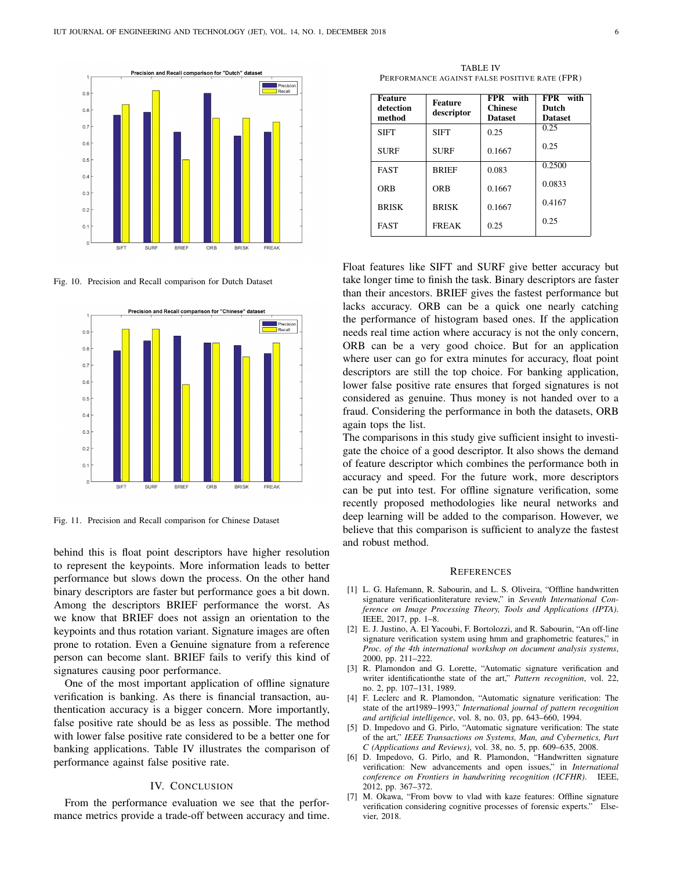

Fig. 10. Precision and Recall comparison for Dutch Dataset



Fig. 11. Precision and Recall comparison for Chinese Dataset

behind this is float point descriptors have higher resolution to represent the keypoints. More information leads to better performance but slows down the process. On the other hand binary descriptors are faster but performance goes a bit down. Among the descriptors BRIEF performance the worst. As we know that BRIEF does not assign an orientation to the keypoints and thus rotation variant. Signature images are often prone to rotation. Even a Genuine signature from a reference person can become slant. BRIEF fails to verify this kind of signatures causing poor performance.

One of the most important application of offline signature verification is banking. As there is financial transaction, authentication accuracy is a bigger concern. More importantly, false positive rate should be as less as possible. The method with lower false positive rate considered to be a better one for banking applications. Table IV illustrates the comparison of performance against false positive rate.

## IV. CONCLUSION

From the performance evaluation we see that the performance metrics provide a trade-off between accuracy and time.

TABLE IV PERFORMANCE AGAINST FALSE POSITIVE RATE (FPR)

| <b>Feature</b><br>detection<br>method | <b>Feature</b><br>descriptor | FPR with<br><b>Chinese</b><br><b>Dataset</b> | FPR with<br>Dutch<br><b>Dataset</b> |
|---------------------------------------|------------------------------|----------------------------------------------|-------------------------------------|
| <b>SIFT</b>                           | <b>SIFT</b>                  | 0.25                                         | 0.25                                |
| <b>SURF</b>                           | <b>SURF</b>                  | 0.1667                                       | 0.25                                |
| <b>FAST</b>                           | <b>BRIEF</b>                 | 0.083                                        | 0.2500                              |
| ORB                                   | <b>ORB</b>                   | 0.1667                                       | 0.0833                              |
| <b>BRISK</b>                          | <b>BRISK</b>                 | 0.1667                                       | 0.4167                              |
| <b>FAST</b>                           | <b>FREAK</b>                 | 0.25                                         | 0.25                                |

Float features like SIFT and SURF give better accuracy but take longer time to finish the task. Binary descriptors are faster than their ancestors. BRIEF gives the fastest performance but lacks accuracy. ORB can be a quick one nearly catching the performance of histogram based ones. If the application needs real time action where accuracy is not the only concern, ORB can be a very good choice. But for an application where user can go for extra minutes for accuracy, float point descriptors are still the top choice. For banking application, lower false positive rate ensures that forged signatures is not considered as genuine. Thus money is not handed over to a fraud. Considering the performance in both the datasets, ORB again tops the list.

The comparisons in this study give sufficient insight to investigate the choice of a good descriptor. It also shows the demand of feature descriptor which combines the performance both in accuracy and speed. For the future work, more descriptors can be put into test. For offline signature verification, some recently proposed methodologies like neural networks and deep learning will be added to the comparison. However, we believe that this comparison is sufficient to analyze the fastest and robust method.

#### **REFERENCES**

- [1] L. G. Hafemann, R. Sabourin, and L. S. Oliveira, "Offline handwritten signature verificationliterature review," in *Seventh International Conference on Image Processing Theory, Tools and Applications (IPTA)*. IEEE, 2017, pp. 1–8.
- [2] E. J. Justino, A. El Yacoubi, F. Bortolozzi, and R. Sabourin, "An off-line signature verification system using hmm and graphometric features," in *Proc. of the 4th international workshop on document analysis systems*, 2000, pp. 211–222.
- [3] R. Plamondon and G. Lorette, "Automatic signature verification and writer identificationthe state of the art," *Pattern recognition*, vol. 22, no. 2, pp. 107–131, 1989.
- [4] F. Leclerc and R. Plamondon, "Automatic signature verification: The state of the art1989–1993," *International journal of pattern recognition and artificial intelligence*, vol. 8, no. 03, pp. 643–660, 1994.
- [5] D. Impedovo and G. Pirlo, "Automatic signature verification: The state of the art," *IEEE Transactions on Systems, Man, and Cybernetics, Part C (Applications and Reviews)*, vol. 38, no. 5, pp. 609–635, 2008.
- [6] D. Impedovo, G. Pirlo, and R. Plamondon, "Handwritten signature verification: New advancements and open issues," in *International conference on Frontiers in handwriting recognition (ICFHR)*. IEEE, 2012, pp. 367–372.
- [7] M. Okawa, "From bovw to vlad with kaze features: Offline signature verification considering cognitive processes of forensic experts." Elsevier, 2018.